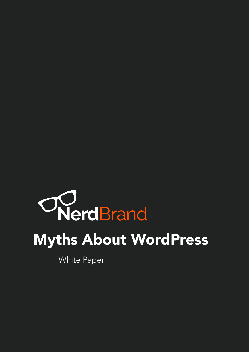# WerdBrand Myths About WordPress

White Paper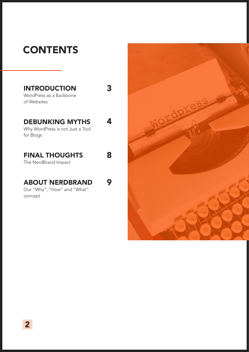# **CONTENTS**

| <b>INTRODUCTION</b><br>WordPress as a Backbone<br>of Websites           |   |
|-------------------------------------------------------------------------|---|
| <b>DEBUNKING MYTHS</b><br>Why WordPress is not Just a Tool<br>for Blogs |   |
| <b>FINAL THOUGHTS</b><br>The NerdBrand Impact                           | 8 |
| <b>ABOUT NERDBRAND</b><br>Our "Why", "How" and "What"<br>concept        |   |

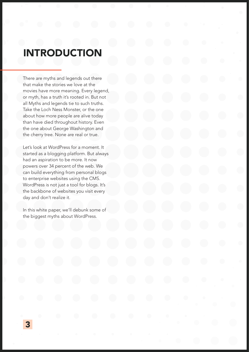#### INTRODUCTION

There are myths and legends out there that make the stories we love at the movies have more meaning. Every legend, or myth, has a truth it's rooted in. But not all Myths and legends tie to such truths. Take the Loch Ness Monster, or the one about how more people are alive today than have died throughout history. Even the one about George Washington and the cherry tree. None are real or true.

Let's look at WordPress for a moment. It started as a blogging platform. But always had an aspiration to be more. It now powers over 34 percent of the web. We can build everything from personal blogs to enterprise websites using the CMS. WordPress is not just a tool for blogs. It's the backbone of websites you visit every day and don't realize it.

In this white paper, we'll debunk some of the biggest myths about WordPress.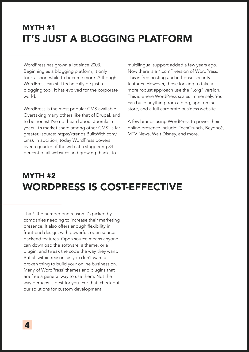#### MYTH #1 IT'S JUST A BLOGGING PLATFORM

WordPress has grown a lot since 2003. Beginning as a blogging platform, it only took a short while to become more. Although WordPress can still technically be just a blogging tool, it has evolved for the corporate world.

WordPress is the most popular CMS available. Overtaking many others like that of Drupal, and to be honest I've not heard about Joomla in years. It's market share among other CMS' is far greater. (source: https://trends.BuiltWith.com/ cms). In addition, today WordPress powers over a quarter of the web at a staggering 34 percent of all websites and growing thanks to

multilingual support added a few years ago. Now there is a ".com" version of WordPress. This is free hosting and in-house security features. However, those looking to take a more robust approach use the ".org" version. This is where WordPress scales immensely. You can build anything from a blog, app, online store, and a full corporate business website.

A few brands using WordPress to power their online presence include: TechCrunch, Beyoncé, MTV News, Walt Disney, and more.

#### MYTH #2 WORDPRESS IS COST-EFFECTIVE

That's the number one reason it's picked by companies needing to increase their marketing presence. It also offers enough flexibility in front-end design, with powerful, open source backend features. Open source means anyone can download the software, a theme, or a plugin, and tweak the code the way they want. But all within reason, as you don't want a broken thing to build your online business on. Many of WordPress' themes and plugins that are free a general way to use them. Not the way perhaps is best for you. For that, check out our solutions for custom development.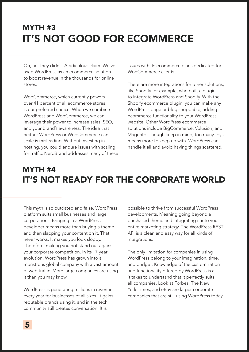### MYTH #3 IT'S NOT GOOD FOR ECOMMERCE

Oh, no, they didn't. A ridiculous claim. We've used WordPress as an ecommerce solution to boost revenue in the thousands for online stores.

WooCommerce, which currently powers over 41 percent of all ecommerce stores, is our preferred choice. When we combine WordPress and WooCommerce, we can leverage their power to increase sales, SEO, and your brand's awareness. The idea that neither WordPress or WooCommerce can't scale is misleading. Without investing in hosting, you could endure issues with scaling for traffic. NerdBrand addresses many of these issues with its ecommerce plans dedicated for WooCommerce clients

There are more integrations for other solutions, like Shopify for example, who built a plugin to integrate WordPress and Shopify. With the Shopify ecommerce plugin, you can make any WordPress page or blog shoppable, adding ecommerce functionality to your WordPress website. Other WordPress ecommerce solutions include BigCommerce, Volusion, and Magento. Though keep in mind, too many toys means more to keep up with. WordPress can handle it all and avoid having things scattered.

#### MYTH #4 IT'S NOT READY FOR THE CORPORATE WORLD

This myth is so outdated and false. WordPress platform suits small businesses and large corporations. Bringing in a WordPress developer means more than buying a theme and then slapping your content on it. That never works. It makes you look sloppy. Therefore, making you not stand out against your corporate competition. In its 17 year evolution, WordPress has grown into a monstrous global company with a vast amount of web traffic. More large companies are using it than you may know.

WordPress is generating millions in revenue every year for businesses of all sizes. It gains reputable brands using it, and in the tech community still creates conversation. It is

possible to thrive from successful WordPress developments. Meaning going beyond a purchased theme and integrating it into your entire marketing strategy. The WordPress REST API is a clean and easy way for all kinds of integrations.

The only limitation for companies in using WordPress belong to your imagination, time, and budget. Knowledge of the customization and functionality offered by WordPress is all it takes to understand that it perfectly suits all companies. Look at Forbes, The New York Times, and eBay are larger corporate companies that are still using WordPress today.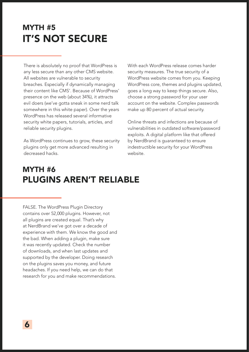#### MYTH #5 IT'S NOT SECURE

There is absolutely no proof that WordPress is any less secure than any other CMS website. All websites are vulnerable to security breaches. Especially if dynamically managing their content like CMS'. Because of WordPress' presence on the web (about 34%), it attracts evil doers (we've gotta sneak in some nerd talk somewhere in this white paper). Over the years WordPress has released several informative security white papers, tutorials, articles, and reliable security plugins.

As WordPress continues to grow, these security plugins only get more advanced resulting in decreased hacks.

With each WordPress release comes harder security measures. The true security of a WordPress website comes from you. Keeping WordPress core, themes and plugins updated, goes a long way to keep things secure. Also, choose a strong password for your user account on the website. Complex passwords make up 80 percent of actual security.

Online threats and infections are because of vulnerabilities in outdated software/password exploits. A digital platform like that offered by NerdBrand is guaranteed to ensure indestructible security for your WordPress website.

#### MYTH #6 PLUGINS AREN'T RELIABLE

FALSE. The WordPress Plugin Directory contains over 52,000 plugins. However, not all plugins are created equal. That's why at NerdBrand we've got over a decade of experience with them. We know the good and the bad. When adding a plugin, make sure it was recently updated. Check the number of downloads, and when last updates and supported by the developer. Doing research on the plugins saves you money, and future headaches. If you need help, we can do that research for you and make recommendations.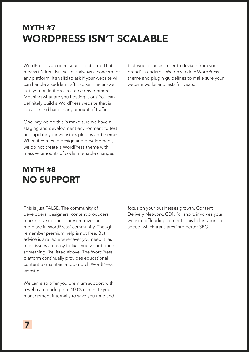#### MYTH #7 WORDPRESS ISN'T SCALABLE

WordPress is an open source platform. That means it's free. But scale is always a concern for any platform. It's valid to ask if your website will can handle a sudden traffic spike. The answer is, if you build it on a suitable environment. Meaning what are you hosting it on? You can definitely build a WordPress website that is scalable and handle any amount of traffic.

One way we do this is make sure we have a staging and development environment to test, and update your website's plugins and themes. When it comes to design and development, we do not create a WordPress theme with massive amounts of code to enable changes

#### MYTH #8 NO SUPPORT

This is just FALSE. The community of developers, designers, content producers, marketers, support representatives and more are in WordPress' community. Though remember premium help is not free. But advice is available whenever you need it, as most issues are easy to fix if you've not done something like listed above. The WordPress platform continually provides educational content to maintain a top- notch WordPress website.

We can also offer you premium support with a web care package to 100% eliminate your management internally to save you time and that would cause a user to deviate from your brand's standards. We only follow WordPress theme and plugin guidelines to make sure your website works and lasts for years.

focus on your businesses growth. Content Delivery Network. CDN for short, involves your website offloading content. This helps your site speed, which translates into better SEO.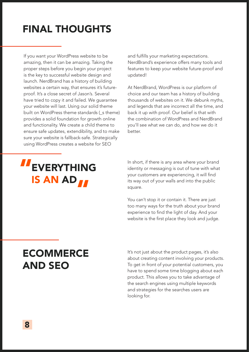# FINAL THOUGHTS

If you want your WordPress website to be amazing, then it can be amazing. Taking the proper steps before you begin your project is the key to successful website design and launch. NerdBrand has a history of building websites a certain way, that ensures it's futureproof. It's a close secret of Jason's. Several have tried to copy it and failed. We guarantee your website will last. Using our solid theme built on WordPress theme standards (s theme) provides a solid foundation for growth online and functionality. We create a child theme to ensure safe updates, extendibility, and to make sure your website is fallback-safe. Strategically using WordPress creates a website for SEO

#### and fulfills your marketing expectations. NerdBrand's experience offers many tools and features to keep your website future-proof and updated!

At NerdBrand, WordPress is our platform of choice and our team has a history of building thousands of websites on it. We debunk myths, and legends that are incorrect all the time, and back it up with proof. Our belief is that with the combination of WordPress and NerdBrand you'll see what we can do, and how we do it better.

## EVERYTHING IS AN AD " "

In short, if there is any area where your brand identity or messaging is out of tune with what your customers are experiencing, it will find its way out of your walls and into the public square.

You can't stop it or contain it. There are just too many ways for the truth about your brand experience to find the light of day. And your website is the first place they look and judge.

## ECOMMERCE AND SEO

It's not just about the product pages, it's also about creating content involving your products. To get in front of your potential customers, you have to spend some time blogging about each product. This allows you to take advantage of the search engines using multiple keywords and strategies for the searches users are looking for.